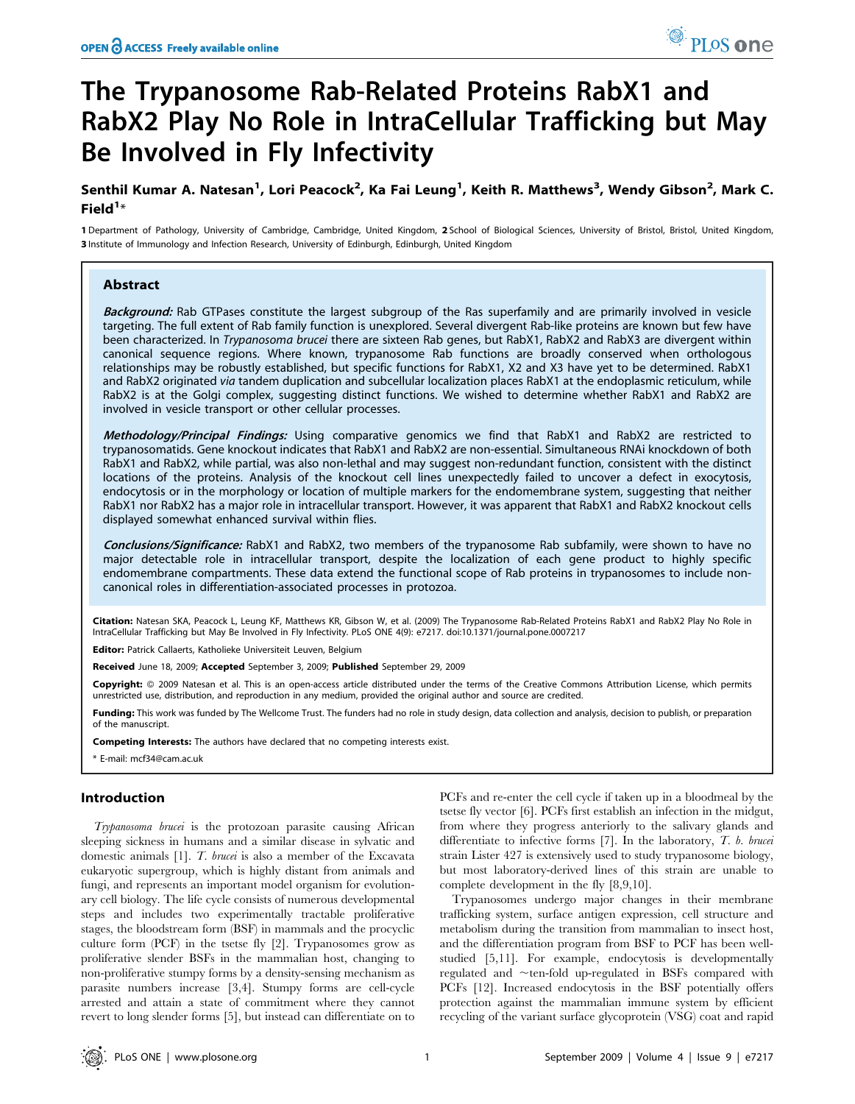# The Trypanosome Rab-Related Proteins RabX1 and RabX2 Play No Role in IntraCellular Trafficking but May Be Involved in Fly Infectivity

## Senthil Kumar A. Natesan<sup>1</sup>, Lori Peacock<sup>2</sup>, Ka Fai Leung<sup>1</sup>, Keith R. Matthews<sup>3</sup>, Wendy Gibson<sup>2</sup>, Mark C. Field $1*$

1 Department of Pathology, University of Cambridge, Cambridge, United Kingdom, 2 School of Biological Sciences, University of Bristol, Bristol, United Kingdom, 3 Institute of Immunology and Infection Research, University of Edinburgh, Edinburgh, United Kingdom

## Abstract

Background: Rab GTPases constitute the largest subgroup of the Ras superfamily and are primarily involved in vesicle targeting. The full extent of Rab family function is unexplored. Several divergent Rab-like proteins are known but few have been characterized. In Trypanosoma brucei there are sixteen Rab genes, but RabX1, RabX2 and RabX3 are divergent within canonical sequence regions. Where known, trypanosome Rab functions are broadly conserved when orthologous relationships may be robustly established, but specific functions for RabX1, X2 and X3 have yet to be determined. RabX1 and RabX2 originated via tandem duplication and subcellular localization places RabX1 at the endoplasmic reticulum, while RabX2 is at the Golgi complex, suggesting distinct functions. We wished to determine whether RabX1 and RabX2 are involved in vesicle transport or other cellular processes.

Methodology/Principal Findings: Using comparative genomics we find that RabX1 and RabX2 are restricted to trypanosomatids. Gene knockout indicates that RabX1 and RabX2 are non-essential. Simultaneous RNAi knockdown of both RabX1 and RabX2, while partial, was also non-lethal and may suggest non-redundant function, consistent with the distinct locations of the proteins. Analysis of the knockout cell lines unexpectedly failed to uncover a defect in exocytosis, endocytosis or in the morphology or location of multiple markers for the endomembrane system, suggesting that neither RabX1 nor RabX2 has a major role in intracellular transport. However, it was apparent that RabX1 and RabX2 knockout cells displayed somewhat enhanced survival within flies.

Conclusions/Significance: RabX1 and RabX2, two members of the trypanosome Rab subfamily, were shown to have no major detectable role in intracellular transport, despite the localization of each gene product to highly specific endomembrane compartments. These data extend the functional scope of Rab proteins in trypanosomes to include noncanonical roles in differentiation-associated processes in protozoa.

Citation: Natesan SKA, Peacock L, Leung KF, Matthews KR, Gibson W, et al. (2009) The Trypanosome Rab-Related Proteins RabX1 and RabX2 Play No Role in IntraCellular Trafficking but May Be Involved in Fly Infectivity. PLoS ONE 4(9): e7217. doi:10.1371/journal.pone.0007217

Editor: Patrick Callaerts, Katholieke Universiteit Leuven, Belgium

Received June 18, 2009; Accepted September 3, 2009; Published September 29, 2009

Copyright: @ 2009 Natesan et al. This is an open-access article distributed under the terms of the Creative Commons Attribution License, which permits unrestricted use, distribution, and reproduction in any medium, provided the original author and source are credited.

Funding: This work was funded by The Wellcome Trust. The funders had no role in study design, data collection and analysis, decision to publish, or preparation of the manuscript.

Competing Interests: The authors have declared that no competing interests exist.

## Introduction

Trypanosoma brucei is the protozoan parasite causing African sleeping sickness in humans and a similar disease in sylvatic and domestic animals [1]. T. brucei is also a member of the Excavata eukaryotic supergroup, which is highly distant from animals and fungi, and represents an important model organism for evolutionary cell biology. The life cycle consists of numerous developmental steps and includes two experimentally tractable proliferative stages, the bloodstream form (BSF) in mammals and the procyclic culture form (PCF) in the tsetse fly [2]. Trypanosomes grow as proliferative slender BSFs in the mammalian host, changing to non-proliferative stumpy forms by a density-sensing mechanism as parasite numbers increase [3,4]. Stumpy forms are cell-cycle arrested and attain a state of commitment where they cannot revert to long slender forms [5], but instead can differentiate on to

PCFs and re-enter the cell cycle if taken up in a bloodmeal by the tsetse fly vector [6]. PCFs first establish an infection in the midgut, from where they progress anteriorly to the salivary glands and differentiate to infective forms  $[7]$ . In the laboratory,  $T$ . b. brucei strain Lister 427 is extensively used to study trypanosome biology, but most laboratory-derived lines of this strain are unable to complete development in the fly [8,9,10].

Trypanosomes undergo major changes in their membrane trafficking system, surface antigen expression, cell structure and metabolism during the transition from mammalian to insect host, and the differentiation program from BSF to PCF has been wellstudied [5,11]. For example, endocytosis is developmentally regulated and  $\sim$ ten-fold up-regulated in BSFs compared with PCFs [12]. Increased endocytosis in the BSF potentially offers protection against the mammalian immune system by efficient recycling of the variant surface glycoprotein (VSG) coat and rapid

<sup>\*</sup> E-mail: mcf34@cam.ac.uk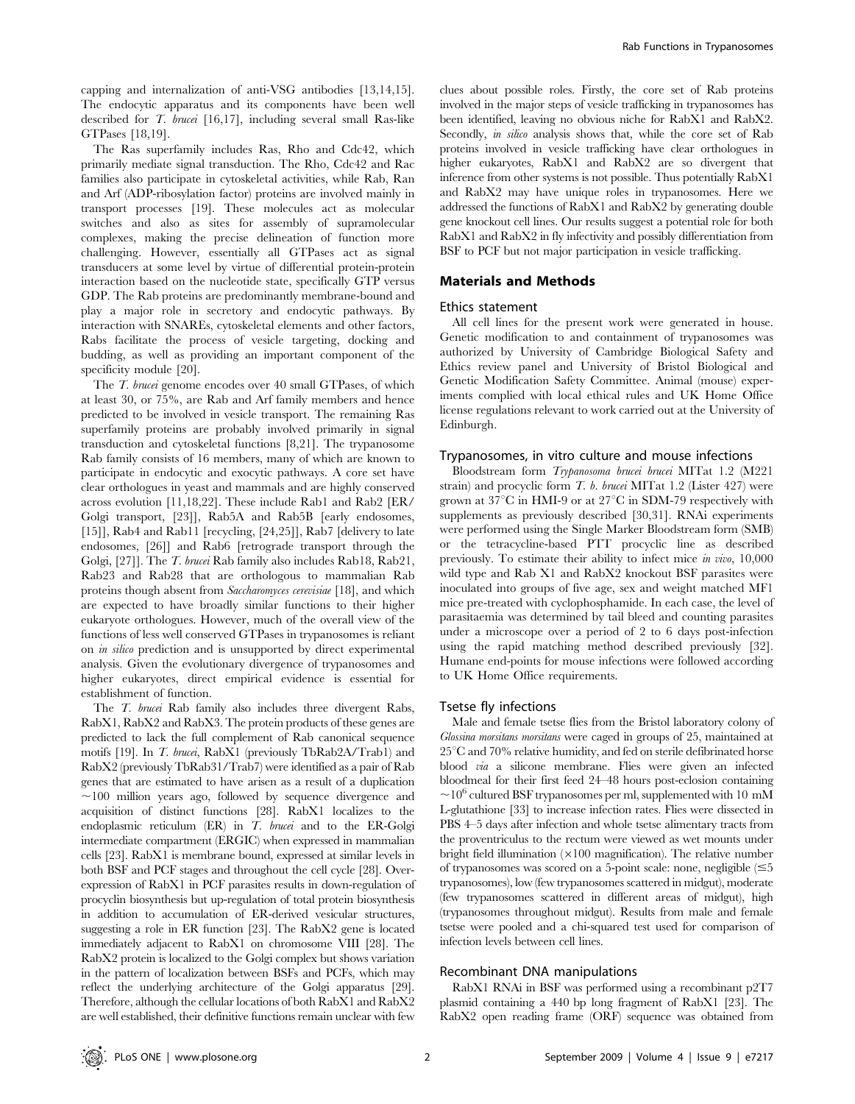capping and internalization of anti-VSG antibodies [13,14,15]. The endocytic apparatus and its components have been well described for T. brucei [16,17], including several small Ras-like GTPases [18,19].

The Ras superfamily includes Ras, Rho and Cdc42, which primarily mediate signal transduction. The Rho, Cdc42 and Rac families also participate in cytoskeletal activities, while Rab, Ran and Arf (ADP-ribosylation factor) proteins are involved mainly in transport processes [19]. These molecules act as molecular switches and also as sites for assembly of supramolecular complexes, making the precise delineation of function more challenging. However, essentially all GTPases act as signal transducers at some level by virtue of differential protein-protein interaction based on the nucleotide state, specifically GTP versus GDP. The Rab proteins are predominantly membrane-bound and play a major role in secretory and endocytic pathways. By interaction with SNAREs, cytoskeletal elements and other factors, Rabs facilitate the process of vesicle targeting, docking and budding, as well as providing an important component of the specificity module [20].

The T. brucei genome encodes over 40 small GTPases, of which at least 30, or 75%, are Rab and Arf family members and hence predicted to be involved in vesicle transport. The remaining Ras superfamily proteins are probably involved primarily in signal transduction and cytoskeletal functions [8,21]. The trypanosome Rab family consists of 16 members, many of which are known to participate in endocytic and exocytic pathways. A core set have clear orthologues in yeast and mammals and are highly conserved across evolution [11,18,22]. These include Rab1 and Rab2 [ER/ Golgi transport, [23]], Rab5A and Rab5B [early endosomes, [15]], Rab4 and Rab11 [recycling, [24,25]], Rab7 [delivery to late endosomes, [26]] and Rab6 [retrograde transport through the Golgi, [27]]. The T. brucei Rab family also includes Rab18, Rab21, Rab23 and Rab28 that are orthologous to mammalian Rab proteins though absent from Saccharomyces cerevisiae [18], and which are expected to have broadly similar functions to their higher eukaryote orthologues. However, much of the overall view of the functions of less well conserved GTPases in trypanosomes is reliant on in silico prediction and is unsupported by direct experimental analysis. Given the evolutionary divergence of trypanosomes and higher eukaryotes, direct empirical evidence is essential for establishment of function.

The *T. brucei* Rab family also includes three divergent Rabs, RabX1, RabX2 and RabX3. The protein products of these genes are predicted to lack the full complement of Rab canonical sequence motifs [19]. In T. brucei, RabX1 (previously TbRab2A/Trab1) and RabX2 (previously TbRab31/Trab7) were identified as a pair of Rab genes that are estimated to have arisen as a result of a duplication  $\sim$ 100 million years ago, followed by sequence divergence and acquisition of distinct functions [28]. RabX1 localizes to the endoplasmic reticulum (ER) in T. brucei and to the ER-Golgi intermediate compartment (ERGIC) when expressed in mammalian cells [23]. RabX1 is membrane bound, expressed at similar levels in both BSF and PCF stages and throughout the cell cycle [28]. Overexpression of RabX1 in PCF parasites results in down-regulation of procyclin biosynthesis but up-regulation of total protein biosynthesis in addition to accumulation of ER-derived vesicular structures, suggesting a role in ER function [23]. The RabX2 gene is located immediately adjacent to RabX1 on chromosome VIII [28]. The RabX2 protein is localized to the Golgi complex but shows variation in the pattern of localization between BSFs and PCFs, which may reflect the underlying architecture of the Golgi apparatus [29]. Therefore, although the cellular locations of both RabX1 and RabX2 are well established, their definitive functions remain unclear with few

clues about possible roles. Firstly, the core set of Rab proteins involved in the major steps of vesicle trafficking in trypanosomes has been identified, leaving no obvious niche for RabX1 and RabX2. Secondly, *in silico* analysis shows that, while the core set of Rab proteins involved in vesicle trafficking have clear orthologues in higher eukaryotes, RabX1 and RabX2 are so divergent that inference from other systems is not possible. Thus potentially RabX1 and RabX2 may have unique roles in trypanosomes. Here we addressed the functions of RabX1 and RabX2 by generating double gene knockout cell lines. Our results suggest a potential role for both RabX1 and RabX2 in fly infectivity and possibly differentiation from BSF to PCF but not major participation in vesicle trafficking.

#### Materials and Methods

#### Ethics statement

All cell lines for the present work were generated in house. Genetic modification to and containment of trypanosomes was authorized by University of Cambridge Biological Safety and Ethics review panel and University of Bristol Biological and Genetic Modification Safety Committee. Animal (mouse) experiments complied with local ethical rules and UK Home Office license regulations relevant to work carried out at the University of Edinburgh.

#### Trypanosomes, in vitro culture and mouse infections

Bloodstream form Trypanosoma brucei brucei MITat 1.2 (M221 strain) and procyclic form  $T$ , *b. brucei* MITat 1.2 (Lister 427) were grown at  $37^{\circ}$ C in HMI-9 or at  $27^{\circ}$ C in SDM-79 respectively with supplements as previously described [30,31]. RNAi experiments were performed using the Single Marker Bloodstream form (SMB) or the tetracycline-based PTT procyclic line as described previously. To estimate their ability to infect mice in vivo, 10,000 wild type and Rab X1 and RabX2 knockout BSF parasites were inoculated into groups of five age, sex and weight matched MF1 mice pre-treated with cyclophosphamide. In each case, the level of parasitaemia was determined by tail bleed and counting parasites under a microscope over a period of 2 to 6 days post-infection using the rapid matching method described previously [32]. Humane end-points for mouse infections were followed according to UK Home Office requirements.

## Tsetse fly infections

Male and female tsetse flies from the Bristol laboratory colony of Glossina morsitans morsitans were caged in groups of 25, maintained at  $25^{\circ}$ C and 70% relative humidity, and fed on sterile defibrinated horse blood via a silicone membrane. Flies were given an infected bloodmeal for their first feed 24–48 hours post-eclosion containing  $\sim$ 10<sup>o</sup> cultured BSF trypanosomes per ml, supplemented with 10 mM L-glutathione [33] to increase infection rates. Flies were dissected in PBS 4–5 days after infection and whole tsetse alimentary tracts from the proventriculus to the rectum were viewed as wet mounts under bright field illumination  $(x100)$  magnification). The relative number of trypanosomes was scored on a 5-point scale: none, negligible  $(\leq 5$ trypanosomes), low (few trypanosomes scattered in midgut), moderate (few trypanosomes scattered in different areas of midgut), high (trypanosomes throughout midgut). Results from male and female tsetse were pooled and a chi-squared test used for comparison of infection levels between cell lines.

#### Recombinant DNA manipulations

RabX1 RNAi in BSF was performed using a recombinant p2T7 plasmid containing a 440 bp long fragment of RabX1 [23]. The RabX2 open reading frame (ORF) sequence was obtained from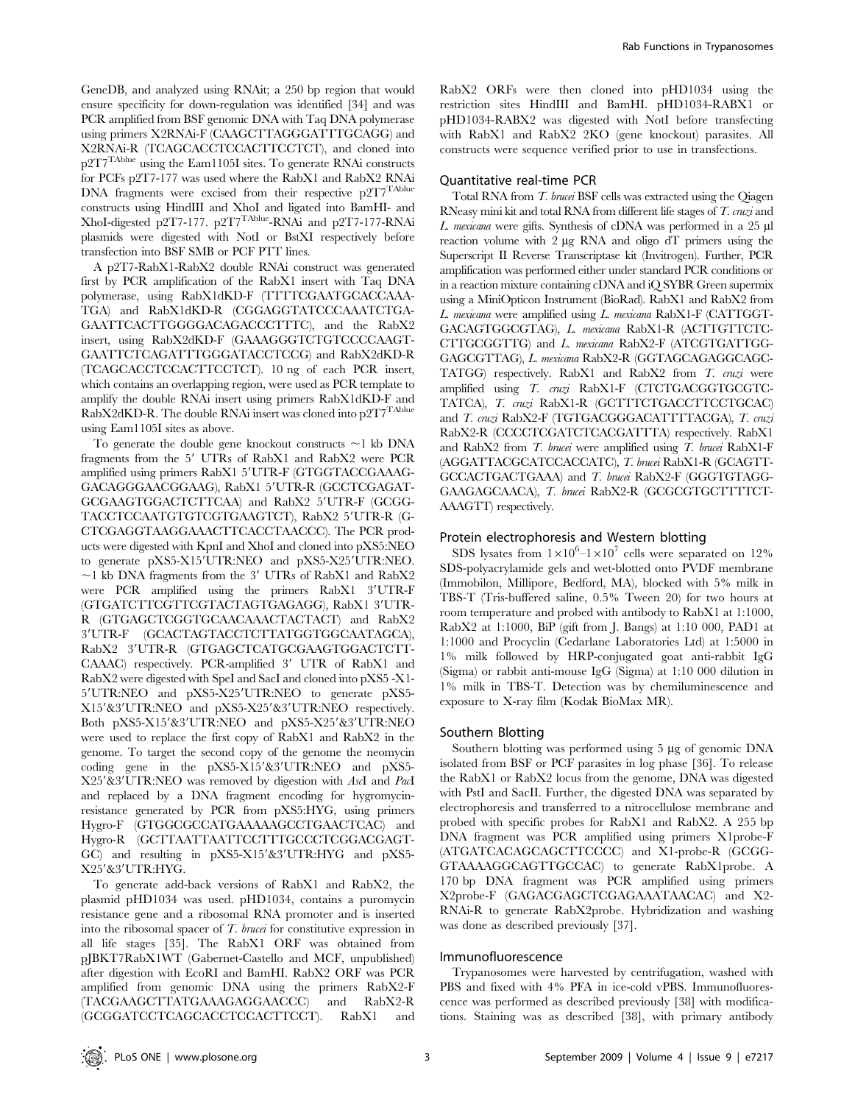GeneDB, and analyzed using RNAit; a 250 bp region that would ensure specificity for down-regulation was identified [34] and was PCR amplified from BSF genomic DNA with Taq DNA polymerase using primers X2RNAi-F (CAAGCTTAGGGATTTGCAGG) and X2RNAi-R (TCAGCACCTCCACTTCCTCT), and cloned into p2T7TAblue using the Eam1105I sites. To generate RNAi constructs for PCFs p2T7-177 was used where the RabX1 and RabX2 RNAi DNA fragments were excised from their respective p2T7<sup>TAblue</sup> constructs using HindIII and XhoI and ligated into BamHI- and XhoI-digested p2T7-177. p2T7TAblue-RNAi and p2T7-177-RNAi plasmids were digested with NotI or BstXI respectively before transfection into BSF SMB or PCF PTT lines.

A p2T7-RabX1-RabX2 double RNAi construct was generated first by PCR amplification of the RabX1 insert with Taq DNA polymerase, using RabX1dKD-F (TTTTCGAATGCACCAAA-TGA) and RabX1dKD-R (CGGAGGTATCCCAAATCTGA-GAATTCACTTGGGGACAGACCCTTTC), and the RabX2 insert, using RabX2dKD-F (GAAAGGGTCTGTCCCCAAGT-GAATTCTCAGATTTGGGATACCTCCG) and RabX2dKD-R (TCAGCACCTCCACTTCCTCT). 10 ng of each PCR insert, which contains an overlapping region, were used as PCR template to amplify the double RNAi insert using primers RabX1dKD-F and RabX2dKD-R. The double RNAi insert was cloned into  $p2T7^{Table}$ using Eam1105I sites as above.

To generate the double gene knockout constructs  $\sim$ 1 kb DNA fragments from the  $5'$  UTRs of RabX1 and RabX2 were PCR amplified using primers RabX1 5'UTR-F (GTGGTACCGAAAG-GACAGGGAACGGAAG), RabX1 5'UTR-R (GCCTCGAGAT-GCGAAGTGGACTCTTCAA) and RabX2 5'UTR-F (GCGG-TACCTCCAATGTGTCGTGAAGTCT), RabX2 5'UTR-R (G-CTCGAGGTAAGGAAACTTCACCTAACCC). The PCR products were digested with KpnI and XhoI and cloned into pXS5:NEO to generate pXS5-X15'UTR:NEO and pXS5-X25'UTR:NEO.  $\sim$ 1 kb DNA fragments from the 3' UTRs of RabX1 and RabX2 were PCR amplified using the primers RabX1 3'UTR-F (GTGATCTTCGTTCGTACTAGTGAGAGG), RabX1 3'UTR-R (GTGAGCTCGGTGCAACAAACTACTACT) and RabX2 39UTR-F (GCACTAGTACCTCTTATGGTGGCAATAGCA), RabX2 3'UTR-R (GTGAGCTCATGCGAAGTGGACTCTT- $CAAAC$ ) respectively. PCR-amplified  $3'$  UTR of RabX1 and RabX2 were digested with SpeI and SacI and cloned into pXS5 -X1- 5'UTR:NEO and pXS5-X25'UTR:NEO to generate pXS5-X15'&3'UTR:NEO and pXS5-X25'&3'UTR:NEO respectively. Both pXS5-X15'&3'UTR:NEO and pXS5-X25'&3'UTR:NEO were used to replace the first copy of RabX1 and RabX2 in the genome. To target the second copy of the genome the neomycin coding gene in the pXS5-X15'&3'UTR:NEO and pXS5-X25'&3'UTR:NEO was removed by digestion with AscI and PacI and replaced by a DNA fragment encoding for hygromycinresistance generated by PCR from pXS5:HYG, using primers Hygro-F (GTGGCGCCATGAAAAAGCCTGAACTCAC) and Hygro-R (GCTTAATTAATTCCTTTGCCCTCGGACGAGT-GC) and resulting in  $pXS5-X15'$ &3'UTR:HYG and  $pXS5-$ X25'&3'UTR:HYG.

To generate add-back versions of RabX1 and RabX2, the plasmid pHD1034 was used. pHD1034, contains a puromycin resistance gene and a ribosomal RNA promoter and is inserted into the ribosomal spacer of T. brucei for constitutive expression in all life stages [35]. The RabX1 ORF was obtained from pJBKT7RabX1WT (Gabernet-Castello and MCF, unpublished) after digestion with EcoRI and BamHI. RabX2 ORF was PCR amplified from genomic DNA using the primers RabX2-F (TACGAAGCTTATGAAAGAGGAACCC) and RabX2-R (GCGGATCCTCAGCACCTCCACTTCCT). RabX1 and

RabX2 ORFs were then cloned into pHD1034 using the restriction sites HindIII and BamHI. pHD1034-RABX1 or pHD1034-RABX2 was digested with NotI before transfecting with RabX1 and RabX2 2KO (gene knockout) parasites. All constructs were sequence verified prior to use in transfections.

## Quantitative real-time PCR

Total RNA from T. brucei BSF cells was extracted using the Qiagen RNeasy mini kit and total RNA from different life stages of T. cruzi and L. mexicana were gifts. Synthesis of cDNA was performed in a  $25 \mu l$ reaction volume with  $2 \mu g$  RNA and oligo dT primers using the Superscript II Reverse Transcriptase kit (Invitrogen). Further, PCR amplification was performed either under standard PCR conditions or in a reaction mixture containing cDNA and iQ SYBR Green supermix using a MiniOpticon Instrument (BioRad). RabX1 and RabX2 from L. mexicana were amplified using L. mexicana RabX1-F (CATTGGT-GACAGTGGCGTAG), L. mexicana RabX1-R (ACTTGTTCTC-CTTGCGGTTG) and L. mexicana RabX2-F (ATCGTGATTGG-GAGCGTTAG), L. mexicana RabX2-R (GGTAGCAGAGGCAGC-TATGG) respectively. RabX1 and RabX2 from T. cruzi were amplified using T. cruzi RabX1-F (CTCTGACGGTGCGTC-TATCA), T. cruzi RabX1-R (GCTTTCTGACCTTCCTGCAC) and T. cruzi RabX2-F (TGTGACGGGACATTTTACGA), T. cruzi RabX2-R (CCCCTCGATCTCACGATTTA) respectively. RabX1 and RabX2 from  $T$ . brucei were amplified using  $T$ . brucei RabX1-F (AGGATTACGCATCCACCATC), T. brucei RabX1-R (GCAGTT-GCCACTGACTGAAA) and T. brucei RabX2-F (GGGTGTAGG-GAAGAGCAACA), T. brucei RabX2-R (GCGCGTGCTTTTCT-AAAGTT) respectively.

#### Protein electrophoresis and Western blotting

SDS lysates from  $1 \times 10^6$  –  $1 \times 10^7$  cells were separated on 12% SDS-polyacrylamide gels and wet-blotted onto PVDF membrane (Immobilon, Millipore, Bedford, MA), blocked with 5% milk in TBS-T (Tris-buffered saline, 0.5% Tween 20) for two hours at room temperature and probed with antibody to RabX1 at 1:1000, RabX2 at 1:1000, BiP (gift from J. Bangs) at 1:10 000, PAD1 at 1:1000 and Procyclin (Cedarlane Laboratories Ltd) at 1:5000 in 1% milk followed by HRP-conjugated goat anti-rabbit IgG (Sigma) or rabbit anti-mouse IgG (Sigma) at 1:10 000 dilution in 1% milk in TBS-T. Detection was by chemiluminescence and exposure to X-ray film (Kodak BioMax MR).

#### Southern Blotting

Southern blotting was performed using 5 µg of genomic DNA isolated from BSF or PCF parasites in log phase [36]. To release the RabX1 or RabX2 locus from the genome, DNA was digested with PstI and SacII. Further, the digested DNA was separated by electrophoresis and transferred to a nitrocellulose membrane and probed with specific probes for RabX1 and RabX2. A 255 bp DNA fragment was PCR amplified using primers X1probe-F (ATGATCACAGCAGCTTCCCC) and X1-probe-R (GCGG-GTAAAAGGCAGTTGCCAC) to generate RabX1probe. A 170 bp DNA fragment was PCR amplified using primers X2probe-F (GAGACGAGCTCGAGAAATAACAC) and X2- RNAi-R to generate RabX2probe. Hybridization and washing was done as described previously [37].

## Immunofluorescence

Trypanosomes were harvested by centrifugation, washed with PBS and fixed with 4% PFA in ice-cold vPBS. Immunofluorescence was performed as described previously [38] with modifications. Staining was as described [38], with primary antibody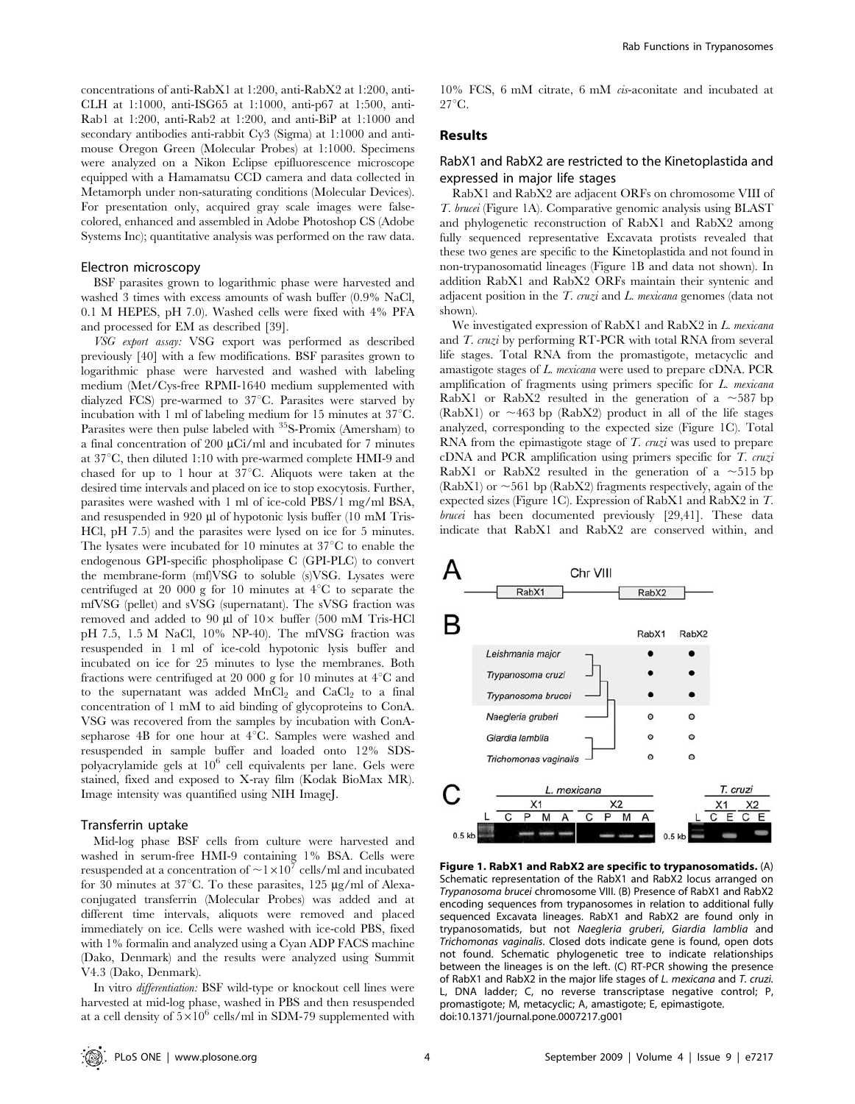concentrations of anti-RabX1 at 1:200, anti-RabX2 at 1:200, anti-CLH at 1:1000, anti-ISG65 at 1:1000, anti-p67 at 1:500, anti-Rab1 at 1:200, anti-Rab2 at 1:200, and anti-BiP at 1:1000 and secondary antibodies anti-rabbit Cy3 (Sigma) at 1:1000 and antimouse Oregon Green (Molecular Probes) at 1:1000. Specimens were analyzed on a Nikon Eclipse epifluorescence microscope equipped with a Hamamatsu CCD camera and data collected in Metamorph under non-saturating conditions (Molecular Devices). For presentation only, acquired gray scale images were falsecolored, enhanced and assembled in Adobe Photoshop CS (Adobe Systems Inc); quantitative analysis was performed on the raw data.

#### Electron microscopy

BSF parasites grown to logarithmic phase were harvested and washed 3 times with excess amounts of wash buffer (0.9% NaCl, 0.1 M HEPES, pH 7.0). Washed cells were fixed with 4% PFA and processed for EM as described [39].

VSG export assay: VSG export was performed as described previously [40] with a few modifications. BSF parasites grown to logarithmic phase were harvested and washed with labeling medium (Met/Cys-free RPMI-1640 medium supplemented with dialyzed FCS) pre-warmed to  $37^{\circ}$ C. Parasites were starved by incubation with 1 ml of labeling medium for 15 minutes at  $37^{\circ}$ C. Parasites were then pulse labeled with <sup>35</sup>S-Promix (Amersham) to a final concentration of 200  $\mu$ Ci/ml and incubated for 7 minutes at  $37^{\circ}$ C, then diluted 1:10 with pre-warmed complete HMI-9 and chased for up to 1 hour at  $37^{\circ}$ C. Aliquots were taken at the desired time intervals and placed on ice to stop exocytosis. Further, parasites were washed with 1 ml of ice-cold PBS/1 mg/ml BSA, and resuspended in 920  $\mu$ l of hypotonic lysis buffer (10 mM Tris-HCl, pH 7.5) and the parasites were lysed on ice for 5 minutes. The lysates were incubated for 10 minutes at  $37^{\circ}$ C to enable the endogenous GPI-specific phospholipase C (GPI-PLC) to convert the membrane-form (mf)VSG to soluble (s)VSG. Lysates were centrifuged at 20 000 g for 10 minutes at  $4^{\circ}$ C to separate the mfVSG (pellet) and sVSG (supernatant). The sVSG fraction was removed and added to 90  $\mu$ l of 10 $\times$  buffer (500 mM Tris-HCl pH 7.5, 1.5 M NaCl, 10% NP-40). The mfVSG fraction was resuspended in 1 ml of ice-cold hypotonic lysis buffer and incubated on ice for 25 minutes to lyse the membranes. Both fractions were centrifuged at 20 000 g for 10 minutes at  $4^{\circ}$ C and to the supernatant was added  $MnCl<sub>2</sub>$  and  $CaCl<sub>2</sub>$  to a final concentration of 1 mM to aid binding of glycoproteins to ConA. VSG was recovered from the samples by incubation with ConAsepharose  $4B$  for one hour at  $4^{\circ}C$ . Samples were washed and resuspended in sample buffer and loaded onto 12% SDSpolyacrylamide gels at  $10^6$  cell equivalents per lane. Gels were stained, fixed and exposed to X-ray film (Kodak BioMax MR). Image intensity was quantified using NIH ImageJ.

#### Transferrin uptake

Mid-log phase BSF cells from culture were harvested and washed in serum-free HMI-9 containing 1% BSA. Cells were resuspended at a concentration of  $\sim$  1  $\times$  10<sup>7</sup> cells/ml and incubated for 30 minutes at  $37^{\circ}$ C. To these parasites, 125  $\mu$ g/ml of Alexaconjugated transferrin (Molecular Probes) was added and at different time intervals, aliquots were removed and placed immediately on ice. Cells were washed with ice-cold PBS, fixed with 1% formalin and analyzed using a Cyan ADP FACS machine (Dako, Denmark) and the results were analyzed using Summit V4.3 (Dako, Denmark).

In vitro differentiation: BSF wild-type or knockout cell lines were harvested at mid-log phase, washed in PBS and then resuspended at a cell density of  $5\times10^6$  cells/ml in SDM-79 supplemented with

10% FCS, 6 mM citrate, 6 mM cis-aconitate and incubated at  $27^{\circ}$ C.

## Results

## RabX1 and RabX2 are restricted to the Kinetoplastida and expressed in major life stages

RabX1 and RabX2 are adjacent ORFs on chromosome VIII of T. brucei (Figure 1A). Comparative genomic analysis using BLAST and phylogenetic reconstruction of RabX1 and RabX2 among fully sequenced representative Excavata protists revealed that these two genes are specific to the Kinetoplastida and not found in non-trypanosomatid lineages (Figure 1B and data not shown). In addition RabX1 and RabX2 ORFs maintain their syntenic and adjacent position in the  $T$ . cruzi and  $L$ . mexicana genomes (data not shown).

We investigated expression of RabX1 and RabX2 in L. mexicana and *T. cruzi* by performing RT-PCR with total RNA from several life stages. Total RNA from the promastigote, metacyclic and amastigote stages of L. mexicana were used to prepare cDNA. PCR amplification of fragments using primers specific for L. mexicana RabX1 or RabX2 resulted in the generation of a  $\sim$ 587 bp (RabX1) or  $\sim$ 463 bp (RabX2) product in all of the life stages analyzed, corresponding to the expected size (Figure 1C). Total RNA from the epimastigote stage of  $T$ . cruzi was used to prepare cDNA and PCR amplification using primers specific for T. cruzi RabX1 or RabX2 resulted in the generation of a  $\sim$ 515 bp (RabX1) or  $\sim$  561 bp (RabX2) fragments respectively, again of the expected sizes (Figure 1C). Expression of RabX1 and RabX2 in T. brucei has been documented previously [29,41]. These data indicate that RabX1 and RabX2 are conserved within, and



Figure 1. RabX1 and RabX2 are specific to trypanosomatids. (A) Schematic representation of the RabX1 and RabX2 locus arranged on Trypanosoma brucei chromosome VIII. (B) Presence of RabX1 and RabX2 encoding sequences from trypanosomes in relation to additional fully sequenced Excavata lineages. RabX1 and RabX2 are found only in trypanosomatids, but not Naegleria gruberi, Giardia lamblia and Trichomonas vaginalis. Closed dots indicate gene is found, open dots not found. Schematic phylogenetic tree to indicate relationships between the lineages is on the left. (C) RT-PCR showing the presence of RabX1 and RabX2 in the major life stages of L. mexicana and T. cruzi. L, DNA ladder; C, no reverse transcriptase negative control; P, promastigote; M, metacyclic; A, amastigote; E, epimastigote. doi:10.1371/journal.pone.0007217.g001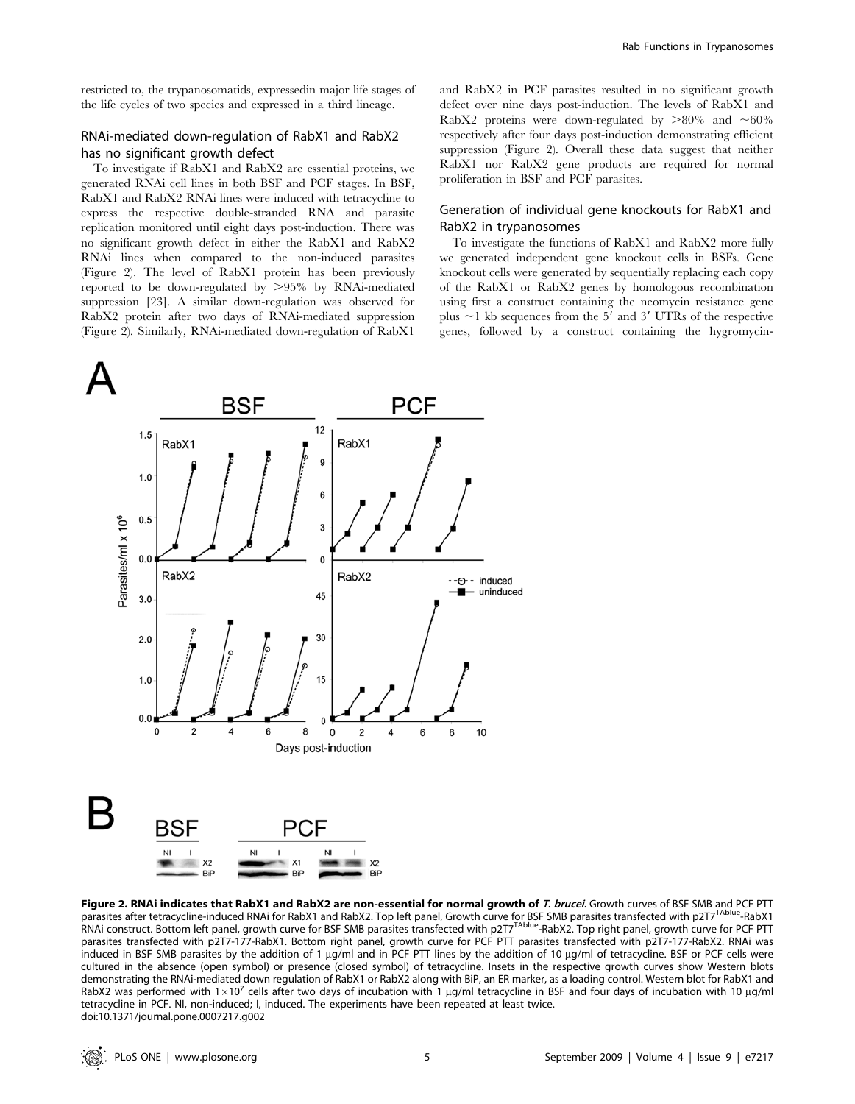## RNAi-mediated down-regulation of RabX1 and RabX2 has no significant growth defect

To investigate if RabX1 and RabX2 are essential proteins, we generated RNAi cell lines in both BSF and PCF stages. In BSF, RabX1 and RabX2 RNAi lines were induced with tetracycline to express the respective double-stranded RNA and parasite replication monitored until eight days post-induction. There was no significant growth defect in either the RabX1 and RabX2 RNAi lines when compared to the non-induced parasites (Figure 2). The level of RabX1 protein has been previously reported to be down-regulated by  $>95\%$  by RNAi-mediated suppression [23]. A similar down-regulation was observed for RabX2 protein after two days of RNAi-mediated suppression (Figure 2). Similarly, RNAi-mediated down-regulation of RabX1

and RabX2 in PCF parasites resulted in no significant growth defect over nine days post-induction. The levels of RabX1 and RabX2 proteins were down-regulated by  $>80\%$  and  $\sim60\%$ respectively after four days post-induction demonstrating efficient suppression (Figure 2). Overall these data suggest that neither RabX1 nor RabX2 gene products are required for normal proliferation in BSF and PCF parasites.

## Generation of individual gene knockouts for RabX1 and RabX2 in trypanosomes

To investigate the functions of RabX1 and RabX2 more fully we generated independent gene knockout cells in BSFs. Gene knockout cells were generated by sequentially replacing each copy of the RabX1 or RabX2 genes by homologous recombination using first a construct containing the neomycin resistance gene plus  $\sim$ 1 kb sequences from the 5' and 3' UTRs of the respective genes, followed by a construct containing the hygromycin-



Figure 2. RNAi indicates that RabX1 and RabX2 are non-essential for normal growth of T. brucei. Growth curves of BSF SMB and PCF PTT parasites after tetracycline-induced RNAi for RabX1 and RabX2. Top left panel, Growth curve for BSF SMB parasites transfected with p2T7<sup>TAblue</sup>-RabX1 RNAi construct. Bottom left panel, growth curve for BSF SMB parasites transfected with p2T7TAblue-RabX2. Top right panel, growth curve for PCF PTT parasites transfected with p2T7-177-RabX1. Bottom right panel, growth curve for PCF PTT parasites transfected with p2T7-177-RabX2. RNAi was induced in BSF SMB parasites by the addition of 1 µg/ml and in PCF PTT lines by the addition of 10 µg/ml of tetracycline. BSF or PCF cells were cultured in the absence (open symbol) or presence (closed symbol) of tetracycline. Insets in the respective growth curves show Western blots demonstrating the RNAi-mediated down regulation of RabX1 or RabX2 along with BiP, an ER marker, as a loading control. Western blot for RabX1 and RabX2 was performed with  $1\times10^7$  cells after two days of incubation with 1 µg/ml tetracycline in BSF and four days of incubation with 10 µg/ml tetracycline in PCF. NI, non-induced; I, induced. The experiments have been repeated at least twice. doi:10.1371/journal.pone.0007217.g002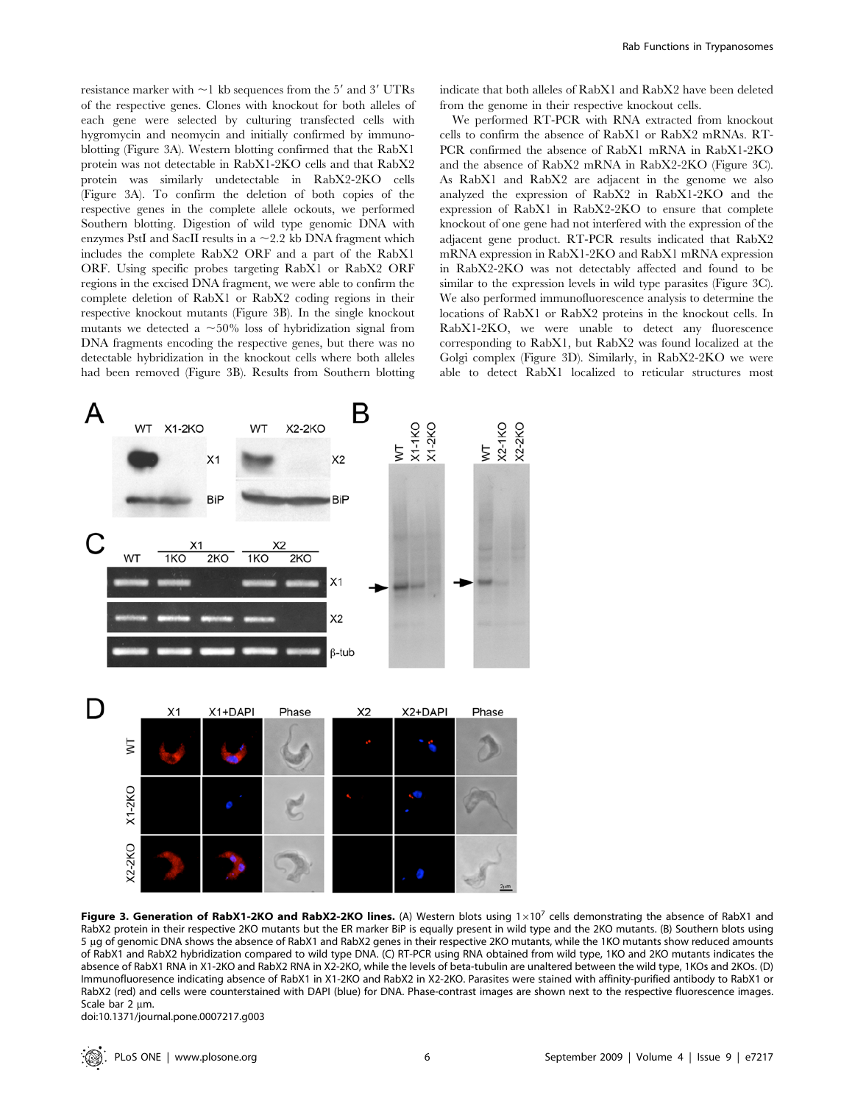resistance marker with  $\sim$ 1 kb sequences from the 5 $^{\prime}$  and 3 $^{\prime}$  UTRs of the respective genes. Clones with knockout for both alleles of each gene were selected by culturing transfected cells with hygromycin and neomycin and initially confirmed by immunoblotting (Figure 3A). Western blotting confirmed that the RabX1 protein was not detectable in RabX1-2KO cells and that RabX2 protein was similarly undetectable in RabX2-2KO cells (Figure 3A). To confirm the deletion of both copies of the respective genes in the complete allele ockouts, we performed Southern blotting. Digestion of wild type genomic DNA with enzymes PstI and SacII results in a  $\sim$  2.2 kb DNA fragment which includes the complete RabX2 ORF and a part of the RabX1 ORF. Using specific probes targeting RabX1 or RabX2 ORF regions in the excised DNA fragment, we were able to confirm the complete deletion of RabX1 or RabX2 coding regions in their respective knockout mutants (Figure 3B). In the single knockout mutants we detected a  $\sim$ 50% loss of hybridization signal from DNA fragments encoding the respective genes, but there was no detectable hybridization in the knockout cells where both alleles had been removed (Figure 3B). Results from Southern blotting indicate that both alleles of RabX1 and RabX2 have been deleted from the genome in their respective knockout cells.

We performed RT-PCR with RNA extracted from knockout cells to confirm the absence of RabX1 or RabX2 mRNAs. RT-PCR confirmed the absence of RabX1 mRNA in RabX1-2KO and the absence of RabX2 mRNA in RabX2-2KO (Figure 3C). As RabX1 and RabX2 are adjacent in the genome we also analyzed the expression of RabX2 in RabX1-2KO and the expression of RabX1 in RabX2-2KO to ensure that complete knockout of one gene had not interfered with the expression of the adjacent gene product. RT-PCR results indicated that RabX2 mRNA expression in RabX1-2KO and RabX1 mRNA expression in RabX2-2KO was not detectably affected and found to be similar to the expression levels in wild type parasites (Figure 3C). We also performed immunofluorescence analysis to determine the locations of RabX1 or RabX2 proteins in the knockout cells. In RabX1-2KO, we were unable to detect any fluorescence corresponding to RabX1, but RabX2 was found localized at the Golgi complex (Figure 3D). Similarly, in RabX2-2KO we were able to detect RabX1 localized to reticular structures most



Figure 3. Generation of RabX1-2KO and RabX2-2KO lines. (A) Western blots using  $1\times10^7$  cells demonstrating the absence of RabX1 and RabX2 protein in their respective 2KO mutants but the ER marker BiP is equally present in wild type and the 2KO mutants. (B) Southern blots using 5 mg of genomic DNA shows the absence of RabX1 and RabX2 genes in their respective 2KO mutants, while the 1KO mutants show reduced amounts of RabX1 and RabX2 hybridization compared to wild type DNA. (C) RT-PCR using RNA obtained from wild type, 1KO and 2KO mutants indicates the absence of RabX1 RNA in X1-2KO and RabX2 RNA in X2-2KO, while the levels of beta-tubulin are unaltered between the wild type, 1KOs and 2KOs. (D) Immunofluoresence indicating absence of RabX1 in X1-2KO and RabX2 in X2-2KO. Parasites were stained with affinity-purified antibody to RabX1 or RabX2 (red) and cells were counterstained with DAPI (blue) for DNA. Phase-contrast images are shown next to the respective fluorescence images. Scale bar 2 um.

doi:10.1371/journal.pone.0007217.g003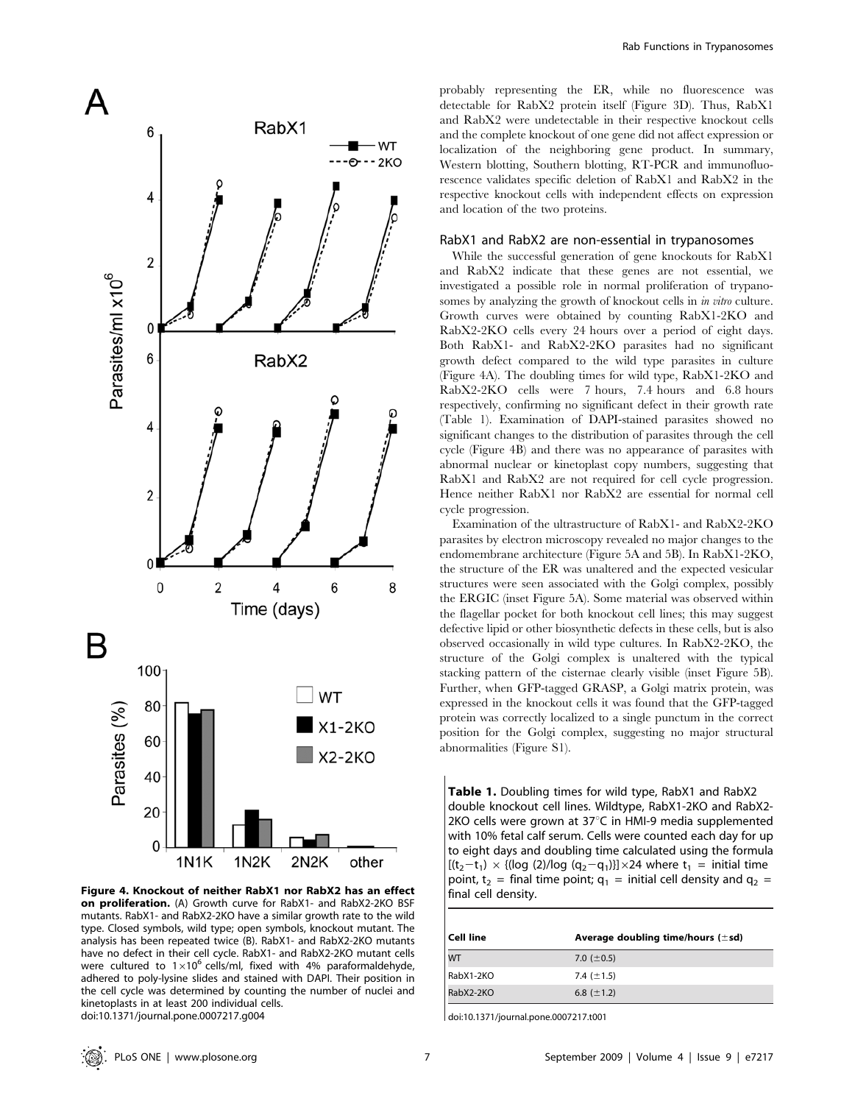

Figure 4. Knockout of neither RabX1 nor RabX2 has an effect on proliferation. (A) Growth curve for RabX1- and RabX2-2KO BSF mutants. RabX1- and RabX2-2KO have a similar growth rate to the wild type. Closed symbols, wild type; open symbols, knockout mutant. The analysis has been repeated twice (B). RabX1- and RabX2-2KO mutants have no defect in their cell cycle. RabX1- and RabX2-2KO mutant cells were cultured to  $1\times10^6$  cells/ml, fixed with 4% paraformaldehyde, adhered to poly-lysine slides and stained with DAPI. Their position in the cell cycle was determined by counting the number of nuclei and kinetoplasts in at least 200 individual cells. doi:10.1371/journal.pone.0007217.g004

probably representing the ER, while no fluorescence was detectable for RabX2 protein itself (Figure 3D). Thus, RabX1 and RabX2 were undetectable in their respective knockout cells and the complete knockout of one gene did not affect expression or localization of the neighboring gene product. In summary, Western blotting, Southern blotting, RT-PCR and immunofluorescence validates specific deletion of RabX1 and RabX2 in the respective knockout cells with independent effects on expression and location of the two proteins.

#### RabX1 and RabX2 are non-essential in trypanosomes

While the successful generation of gene knockouts for RabX1 and RabX2 indicate that these genes are not essential, we investigated a possible role in normal proliferation of trypanosomes by analyzing the growth of knockout cells in *in vitro* culture. Growth curves were obtained by counting RabX1-2KO and RabX2-2KO cells every 24 hours over a period of eight days. Both RabX1- and RabX2-2KO parasites had no significant growth defect compared to the wild type parasites in culture (Figure 4A). The doubling times for wild type, RabX1-2KO and RabX2-2KO cells were 7 hours, 7.4 hours and 6.8 hours respectively, confirming no significant defect in their growth rate (Table 1). Examination of DAPI-stained parasites showed no significant changes to the distribution of parasites through the cell cycle (Figure 4B) and there was no appearance of parasites with abnormal nuclear or kinetoplast copy numbers, suggesting that RabX1 and RabX2 are not required for cell cycle progression. Hence neither RabX1 nor RabX2 are essential for normal cell cycle progression.

Examination of the ultrastructure of RabX1- and RabX2-2KO parasites by electron microscopy revealed no major changes to the endomembrane architecture (Figure 5A and 5B). In RabX1-2KO, the structure of the ER was unaltered and the expected vesicular structures were seen associated with the Golgi complex, possibly the ERGIC (inset Figure 5A). Some material was observed within the flagellar pocket for both knockout cell lines; this may suggest defective lipid or other biosynthetic defects in these cells, but is also observed occasionally in wild type cultures. In RabX2-2KO, the structure of the Golgi complex is unaltered with the typical stacking pattern of the cisternae clearly visible (inset Figure 5B). Further, when GFP-tagged GRASP, a Golgi matrix protein, was expressed in the knockout cells it was found that the GFP-tagged protein was correctly localized to a single punctum in the correct position for the Golgi complex, suggesting no major structural abnormalities (Figure S1).

Table 1. Doubling times for wild type, RabX1 and RabX2 double knockout cell lines. Wildtype, RabX1-2KO and RabX2- 2KO cells were grown at  $37^{\circ}$ C in HMI-9 media supplemented with 10% fetal calf serum. Cells were counted each day for up to eight days and doubling time calculated using the formula  $[(t<sub>2</sub>-t<sub>1</sub>) \times {(\log (2)/log (q<sub>2</sub>-q<sub>1</sub>)] \times 24}$  where  $t<sub>1</sub> = initial time$ point,  $t_2$  = final time point;  $q_1$  = initial cell density and  $q_2$  = final cell density.

| <b>Cell line</b> | Average doubling time/hours $(\pm sd)$ |
|------------------|----------------------------------------|
| <b>WT</b>        | 7.0 $(\pm 0.5)$                        |
| RabX1-2KO        | 7.4 $(\pm 1.5)$                        |
| RabX2-2KO        | 6.8 $(\pm 1.2)$                        |

doi:10.1371/journal.pone.0007217.t001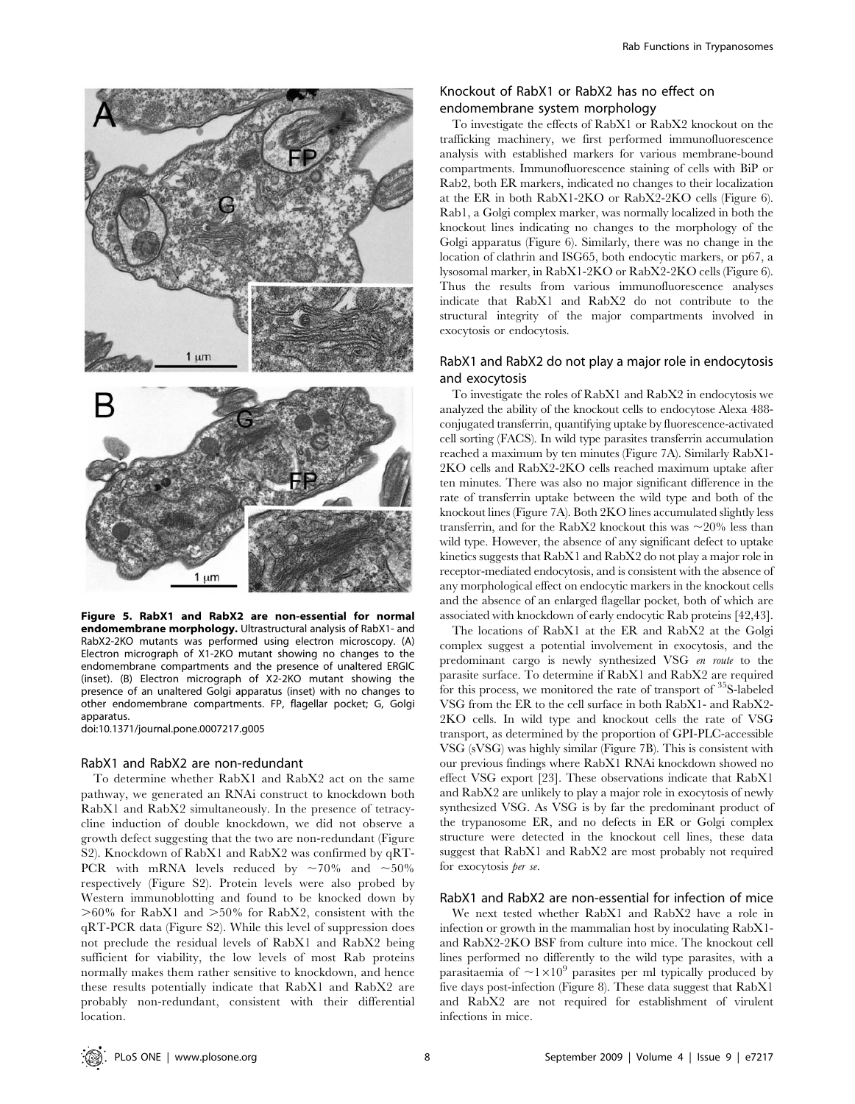

Figure 5. RabX1 and RabX2 are non-essential for normal endomembrane morphology. Ultrastructural analysis of RabX1- and RabX2-2KO mutants was performed using electron microscopy. (A) Electron micrograph of X1-2KO mutant showing no changes to the endomembrane compartments and the presence of unaltered ERGIC (inset). (B) Electron micrograph of X2-2KO mutant showing the presence of an unaltered Golgi apparatus (inset) with no changes to other endomembrane compartments. FP, flagellar pocket; G, Golgi apparatus.

doi:10.1371/journal.pone.0007217.g005

## RabX1 and RabX2 are non-redundant

To determine whether RabX1 and RabX2 act on the same pathway, we generated an RNAi construct to knockdown both RabX1 and RabX2 simultaneously. In the presence of tetracycline induction of double knockdown, we did not observe a growth defect suggesting that the two are non-redundant (Figure S2). Knockdown of RabX1 and RabX2 was confirmed by qRT-PCR with mRNA levels reduced by  $\sim 70\%$  and  $\sim 50\%$ respectively (Figure S2). Protein levels were also probed by Western immunoblotting and found to be knocked down by  $>60\%$  for RabX1 and  $>50\%$  for RabX2, consistent with the qRT-PCR data (Figure S2). While this level of suppression does not preclude the residual levels of RabX1 and RabX2 being sufficient for viability, the low levels of most Rab proteins normally makes them rather sensitive to knockdown, and hence these results potentially indicate that RabX1 and RabX2 are probably non-redundant, consistent with their differential location.

## Knockout of RabX1 or RabX2 has no effect on endomembrane system morphology

To investigate the effects of RabX1 or RabX2 knockout on the trafficking machinery, we first performed immunofluorescence analysis with established markers for various membrane-bound compartments. Immunofluorescence staining of cells with BiP or Rab2, both ER markers, indicated no changes to their localization at the ER in both RabX1-2KO or RabX2-2KO cells (Figure 6). Rab1, a Golgi complex marker, was normally localized in both the knockout lines indicating no changes to the morphology of the Golgi apparatus (Figure 6). Similarly, there was no change in the location of clathrin and ISG65, both endocytic markers, or p67, a lysosomal marker, in RabX1-2KO or RabX2-2KO cells (Figure 6). Thus the results from various immunofluorescence analyses indicate that RabX1 and RabX2 do not contribute to the structural integrity of the major compartments involved in exocytosis or endocytosis.

## RabX1 and RabX2 do not play a major role in endocytosis and exocytosis

To investigate the roles of RabX1 and RabX2 in endocytosis we analyzed the ability of the knockout cells to endocytose Alexa 488 conjugated transferrin, quantifying uptake by fluorescence-activated cell sorting (FACS). In wild type parasites transferrin accumulation reached a maximum by ten minutes (Figure 7A). Similarly RabX1- 2KO cells and RabX2-2KO cells reached maximum uptake after ten minutes. There was also no major significant difference in the rate of transferrin uptake between the wild type and both of the knockout lines (Figure 7A). Both 2KO lines accumulated slightly less transferrin, and for the RabX2 knockout this was  $\sim$ 20% less than wild type. However, the absence of any significant defect to uptake kinetics suggests that RabX1 and RabX2 do not play a major role in receptor-mediated endocytosis, and is consistent with the absence of any morphological effect on endocytic markers in the knockout cells and the absence of an enlarged flagellar pocket, both of which are associated with knockdown of early endocytic Rab proteins [42,43].

The locations of RabX1 at the ER and RabX2 at the Golgi complex suggest a potential involvement in exocytosis, and the predominant cargo is newly synthesized VSG en route to the parasite surface. To determine if RabX1 and RabX2 are required for this process, we monitored the rate of transport of  $35$ S-labeled VSG from the ER to the cell surface in both RabX1- and RabX2- 2KO cells. In wild type and knockout cells the rate of VSG transport, as determined by the proportion of GPI-PLC-accessible VSG (sVSG) was highly similar (Figure 7B). This is consistent with our previous findings where RabX1 RNAi knockdown showed no effect VSG export [23]. These observations indicate that RabX1 and RabX2 are unlikely to play a major role in exocytosis of newly synthesized VSG. As VSG is by far the predominant product of the trypanosome ER, and no defects in ER or Golgi complex structure were detected in the knockout cell lines, these data suggest that RabX1 and RabX2 are most probably not required for exocytosis per se.

## RabX1 and RabX2 are non-essential for infection of mice

We next tested whether RabX1 and RabX2 have a role in infection or growth in the mammalian host by inoculating RabX1 and RabX2-2KO BSF from culture into mice. The knockout cell lines performed no differently to the wild type parasites, with a parasitaemia of  $\sim1\times10^9$  parasites per ml typically produced by five days post-infection (Figure 8). These data suggest that RabX1 and RabX2 are not required for establishment of virulent infections in mice.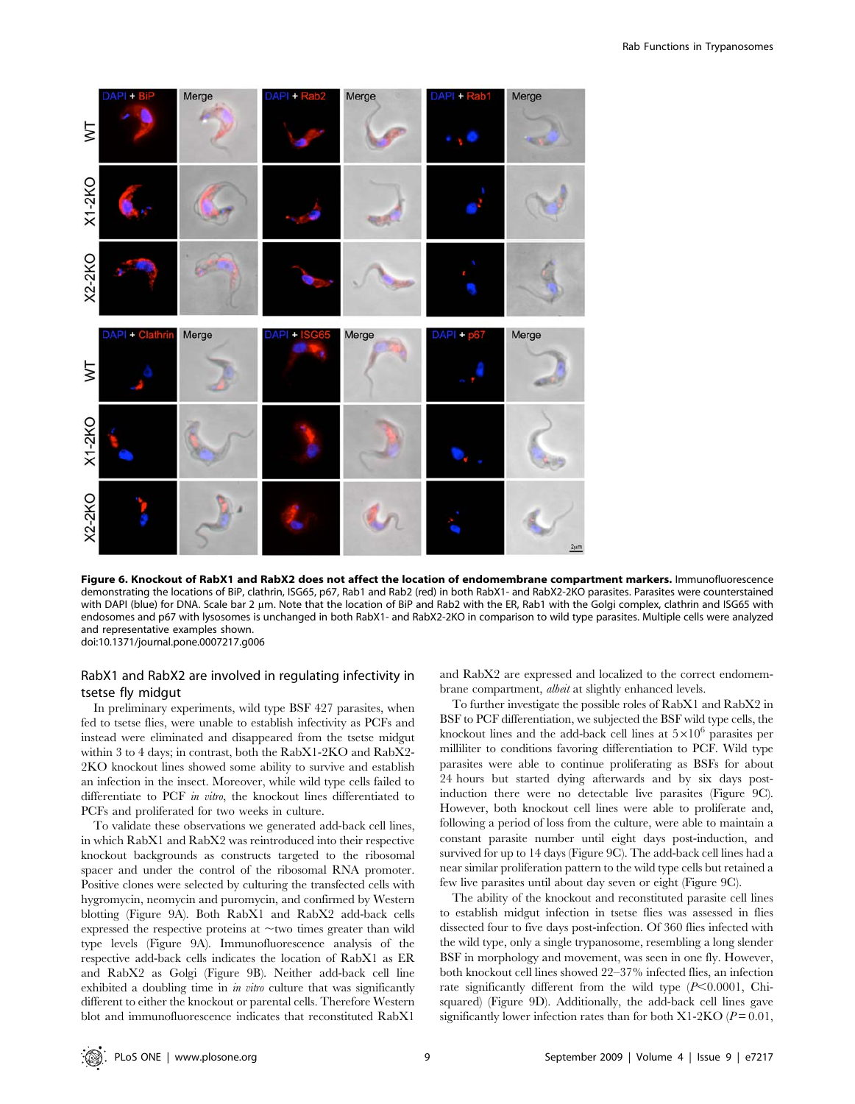

Figure 6. Knockout of RabX1 and RabX2 does not affect the location of endomembrane compartment markers. Immunofluorescence demonstrating the locations of BiP, clathrin, ISG65, p67, Rab1 and Rab2 (red) in both RabX1- and RabX2-2KO parasites. Parasites were counterstained with DAPI (blue) for DNA. Scale bar 2 um. Note that the location of BiP and Rab2 with the ER, Rab1 with the Golgi complex, clathrin and ISG65 with endosomes and p67 with lysosomes is unchanged in both RabX1- and RabX2-2KO in comparison to wild type parasites. Multiple cells were analyzed and representative examples shown. doi:10.1371/journal.pone.0007217.g006

## RabX1 and RabX2 are involved in regulating infectivity in tsetse fly midgut

In preliminary experiments, wild type BSF 427 parasites, when fed to tsetse flies, were unable to establish infectivity as PCFs and instead were eliminated and disappeared from the tsetse midgut within 3 to 4 days; in contrast, both the RabX1-2KO and RabX2- 2KO knockout lines showed some ability to survive and establish an infection in the insect. Moreover, while wild type cells failed to differentiate to PCF in vitro, the knockout lines differentiated to PCFs and proliferated for two weeks in culture.

To validate these observations we generated add-back cell lines, in which RabX1 and RabX2 was reintroduced into their respective knockout backgrounds as constructs targeted to the ribosomal spacer and under the control of the ribosomal RNA promoter. Positive clones were selected by culturing the transfected cells with hygromycin, neomycin and puromycin, and confirmed by Western blotting (Figure 9A). Both RabX1 and RabX2 add-back cells expressed the respective proteins at  $\sim$ two times greater than wild type levels (Figure 9A). Immunofluorescence analysis of the respective add-back cells indicates the location of RabX1 as ER and RabX2 as Golgi (Figure 9B). Neither add-back cell line exhibited a doubling time in  $\dot{m}$  vitro culture that was significantly different to either the knockout or parental cells. Therefore Western blot and immunofluorescence indicates that reconstituted RabX1

and RabX2 are expressed and localized to the correct endomembrane compartment, albeit at slightly enhanced levels.

To further investigate the possible roles of RabX1 and RabX2 in BSF to PCF differentiation, we subjected the BSF wild type cells, the knockout lines and the add-back cell lines at  $5\times10^6$  parasites per milliliter to conditions favoring differentiation to PCF. Wild type parasites were able to continue proliferating as BSFs for about 24 hours but started dying afterwards and by six days postinduction there were no detectable live parasites (Figure 9C). However, both knockout cell lines were able to proliferate and, following a period of loss from the culture, were able to maintain a constant parasite number until eight days post-induction, and survived for up to 14 days (Figure 9C). The add-back cell lines had a near similar proliferation pattern to the wild type cells but retained a few live parasites until about day seven or eight (Figure 9C).

The ability of the knockout and reconstituted parasite cell lines to establish midgut infection in tsetse flies was assessed in flies dissected four to five days post-infection. Of 360 flies infected with the wild type, only a single trypanosome, resembling a long slender BSF in morphology and movement, was seen in one fly. However, both knockout cell lines showed 22–37% infected flies, an infection rate significantly different from the wild type  $(P<0.0001,$  Chisquared) (Figure 9D). Additionally, the add-back cell lines gave significantly lower infection rates than for both X1-2KO ( $P = 0.01$ ,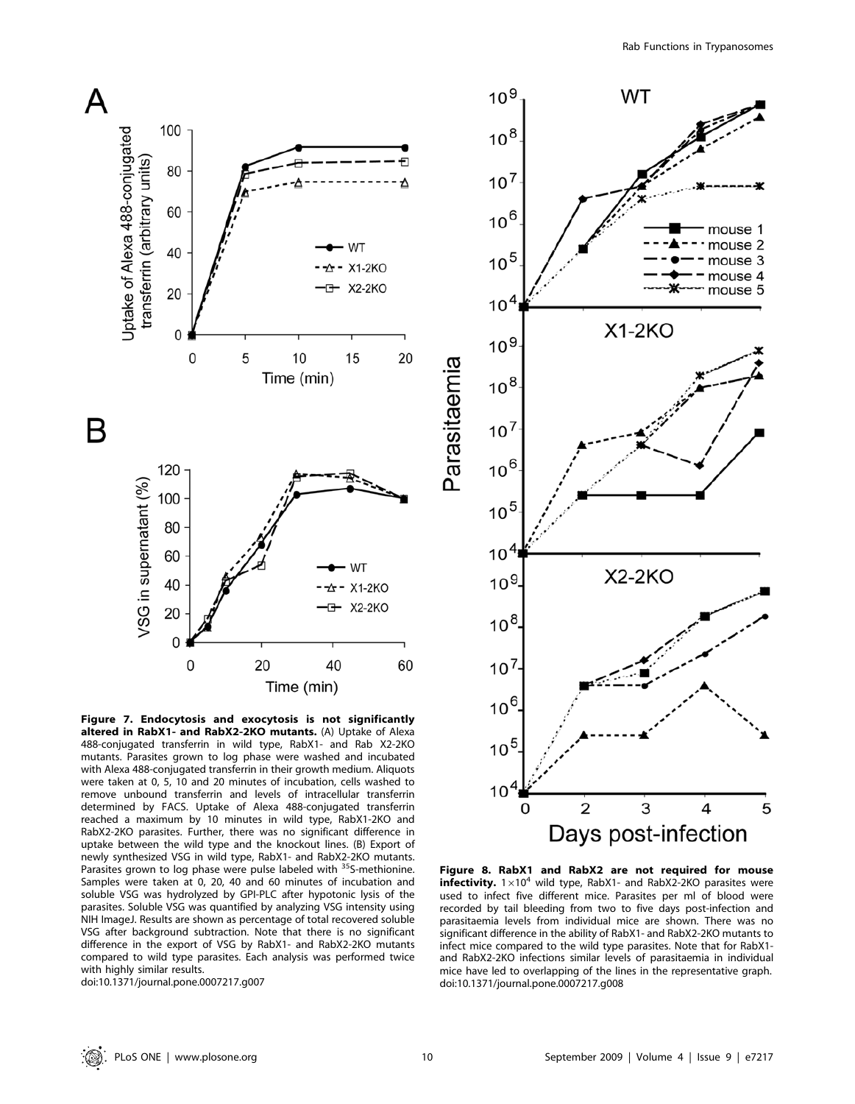

Figure 7. Endocytosis and exocytosis is not significantly altered in RabX1- and RabX2-2KO mutants. (A) Uptake of Alexa 488-conjugated transferrin in wild type, RabX1- and Rab X2-2KO mutants. Parasites grown to log phase were washed and incubated with Alexa 488-conjugated transferrin in their growth medium. Aliquots were taken at 0, 5, 10 and 20 minutes of incubation, cells washed to remove unbound transferrin and levels of intracellular transferrin determined by FACS. Uptake of Alexa 488-conjugated transferrin reached a maximum by 10 minutes in wild type, RabX1-2KO and RabX2-2KO parasites. Further, there was no significant difference in uptake between the wild type and the knockout lines. (B) Export of newly synthesized VSG in wild type, RabX1- and RabX2-2KO mutants. Parasites grown to log phase were pulse labeled with <sup>35</sup>S-methionine. Samples were taken at 0, 20, 40 and 60 minutes of incubation and soluble VSG was hydrolyzed by GPI-PLC after hypotonic lysis of the parasites. Soluble VSG was quantified by analyzing VSG intensity using NIH ImageJ. Results are shown as percentage of total recovered soluble VSG after background subtraction. Note that there is no significant difference in the export of VSG by RabX1- and RabX2-2KO mutants compared to wild type parasites. Each analysis was performed twice with highly similar results.

doi:10.1371/journal.pone.0007217.g007



Figure 8. RabX1 and RabX2 are not required for mouse infectivity.  $1\times10^4$  wild type, RabX1- and RabX2-2KO parasites were used to infect five different mice. Parasites per ml of blood were recorded by tail bleeding from two to five days post-infection and parasitaemia levels from individual mice are shown. There was no significant difference in the ability of RabX1- and RabX2-2KO mutants to infect mice compared to the wild type parasites. Note that for RabX1 and RabX2-2KO infections similar levels of parasitaemia in individual mice have led to overlapping of the lines in the representative graph. doi:10.1371/journal.pone.0007217.g008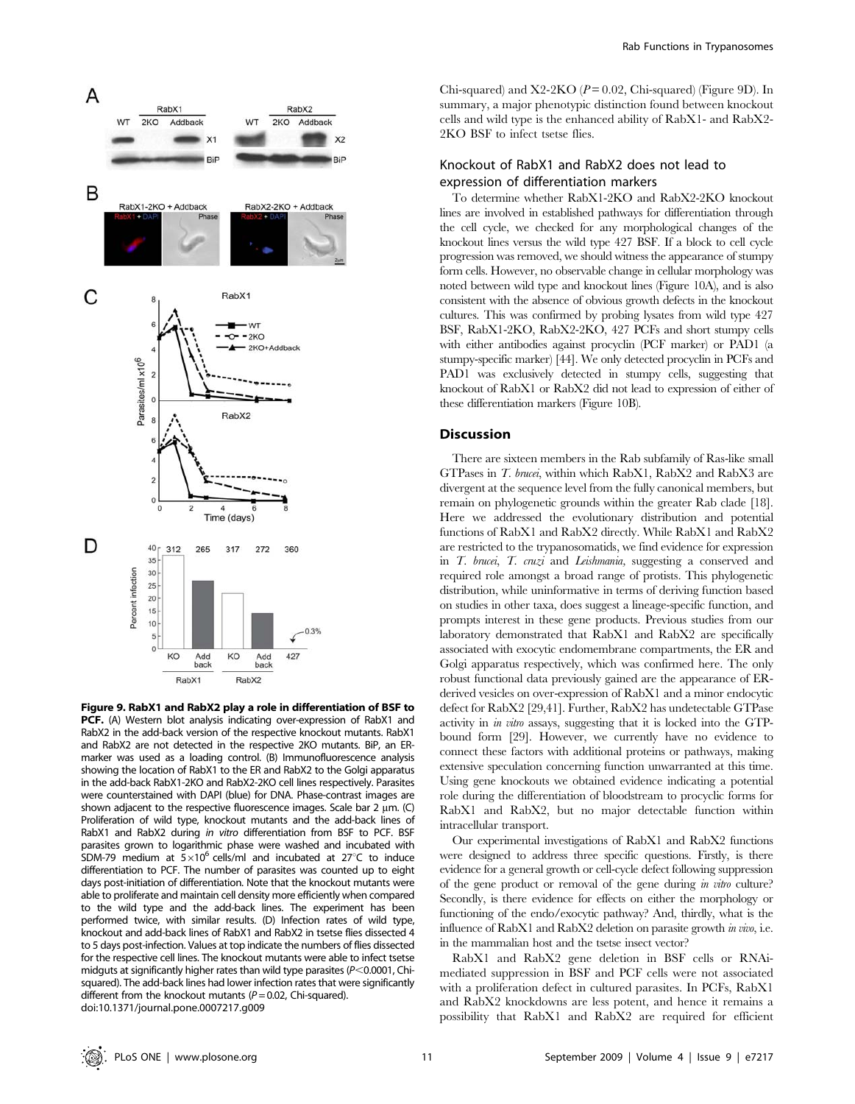

Figure 9. RabX1 and RabX2 play a role in differentiation of BSF to PCF. (A) Western blot analysis indicating over-expression of RabX1 and RabX2 in the add-back version of the respective knockout mutants. RabX1 and RabX2 are not detected in the respective 2KO mutants. BiP, an ERmarker was used as a loading control. (B) Immunofluorescence analysis showing the location of RabX1 to the ER and RabX2 to the Golgi apparatus in the add-back RabX1-2KO and RabX2-2KO cell lines respectively. Parasites were counterstained with DAPI (blue) for DNA. Phase-contrast images are shown adjacent to the respective fluorescence images. Scale bar 2  $\mu$ m. (C) Proliferation of wild type, knockout mutants and the add-back lines of RabX1 and RabX2 during in vitro differentiation from BSF to PCF. BSF parasites grown to logarithmic phase were washed and incubated with SDM-79 medium at  $5\times10^6$  cells/ml and incubated at 27°C to induce differentiation to PCF. The number of parasites was counted up to eight days post-initiation of differentiation. Note that the knockout mutants were able to proliferate and maintain cell density more efficiently when compared to the wild type and the add-back lines. The experiment has been performed twice, with similar results. (D) Infection rates of wild type, knockout and add-back lines of RabX1 and RabX2 in tsetse flies dissected 4 to 5 days post-infection. Values at top indicate the numbers of flies dissected for the respective cell lines. The knockout mutants were able to infect tsetse midguts at significantly higher rates than wild type parasites ( $P<$ 0.0001, Chisquared). The add-back lines had lower infection rates that were significantly different from the knockout mutants ( $P = 0.02$ , Chi-squared). doi:10.1371/journal.pone.0007217.g009

Chi-squared) and  $X2-2KO$  ( $P = 0.02$ , Chi-squared) (Figure 9D). In summary, a major phenotypic distinction found between knockout cells and wild type is the enhanced ability of RabX1- and RabX2- 2KO BSF to infect tsetse flies.

## Knockout of RabX1 and RabX2 does not lead to expression of differentiation markers

To determine whether RabX1-2KO and RabX2-2KO knockout lines are involved in established pathways for differentiation through the cell cycle, we checked for any morphological changes of the knockout lines versus the wild type 427 BSF. If a block to cell cycle progression was removed, we should witness the appearance of stumpy form cells. However, no observable change in cellular morphology was noted between wild type and knockout lines (Figure 10A), and is also consistent with the absence of obvious growth defects in the knockout cultures. This was confirmed by probing lysates from wild type 427 BSF, RabX1-2KO, RabX2-2KO, 427 PCFs and short stumpy cells with either antibodies against procyclin (PCF marker) or PAD1 (a stumpy-specific marker) [44]. We only detected procyclin in PCFs and PAD1 was exclusively detected in stumpy cells, suggesting that knockout of RabX1 or RabX2 did not lead to expression of either of these differentiation markers (Figure 10B).

## Discussion

There are sixteen members in the Rab subfamily of Ras-like small GTPases in T. brucei, within which RabX1, RabX2 and RabX3 are divergent at the sequence level from the fully canonical members, but remain on phylogenetic grounds within the greater Rab clade [18]. Here we addressed the evolutionary distribution and potential functions of RabX1 and RabX2 directly. While RabX1 and RabX2 are restricted to the trypanosomatids, we find evidence for expression in T. brucei, T. cruzi and Leishmania, suggesting a conserved and required role amongst a broad range of protists. This phylogenetic distribution, while uninformative in terms of deriving function based on studies in other taxa, does suggest a lineage-specific function, and prompts interest in these gene products. Previous studies from our laboratory demonstrated that RabX1 and RabX2 are specifically associated with exocytic endomembrane compartments, the ER and Golgi apparatus respectively, which was confirmed here. The only robust functional data previously gained are the appearance of ERderived vesicles on over-expression of RabX1 and a minor endocytic defect for RabX2 [29,41]. Further, RabX2 has undetectable GTPase activity in in vitro assays, suggesting that it is locked into the GTPbound form [29]. However, we currently have no evidence to connect these factors with additional proteins or pathways, making extensive speculation concerning function unwarranted at this time. Using gene knockouts we obtained evidence indicating a potential role during the differentiation of bloodstream to procyclic forms for RabX1 and RabX2, but no major detectable function within intracellular transport.

Our experimental investigations of RabX1 and RabX2 functions were designed to address three specific questions. Firstly, is there evidence for a general growth or cell-cycle defect following suppression of the gene product or removal of the gene during in vitro culture? Secondly, is there evidence for effects on either the morphology or functioning of the endo/exocytic pathway? And, thirdly, what is the influence of RabX1 and RabX2 deletion on parasite growth in vivo, i.e. in the mammalian host and the tsetse insect vector?

RabX1 and RabX2 gene deletion in BSF cells or RNAimediated suppression in BSF and PCF cells were not associated with a proliferation defect in cultured parasites. In PCFs, RabX1 and RabX2 knockdowns are less potent, and hence it remains a possibility that RabX1 and RabX2 are required for efficient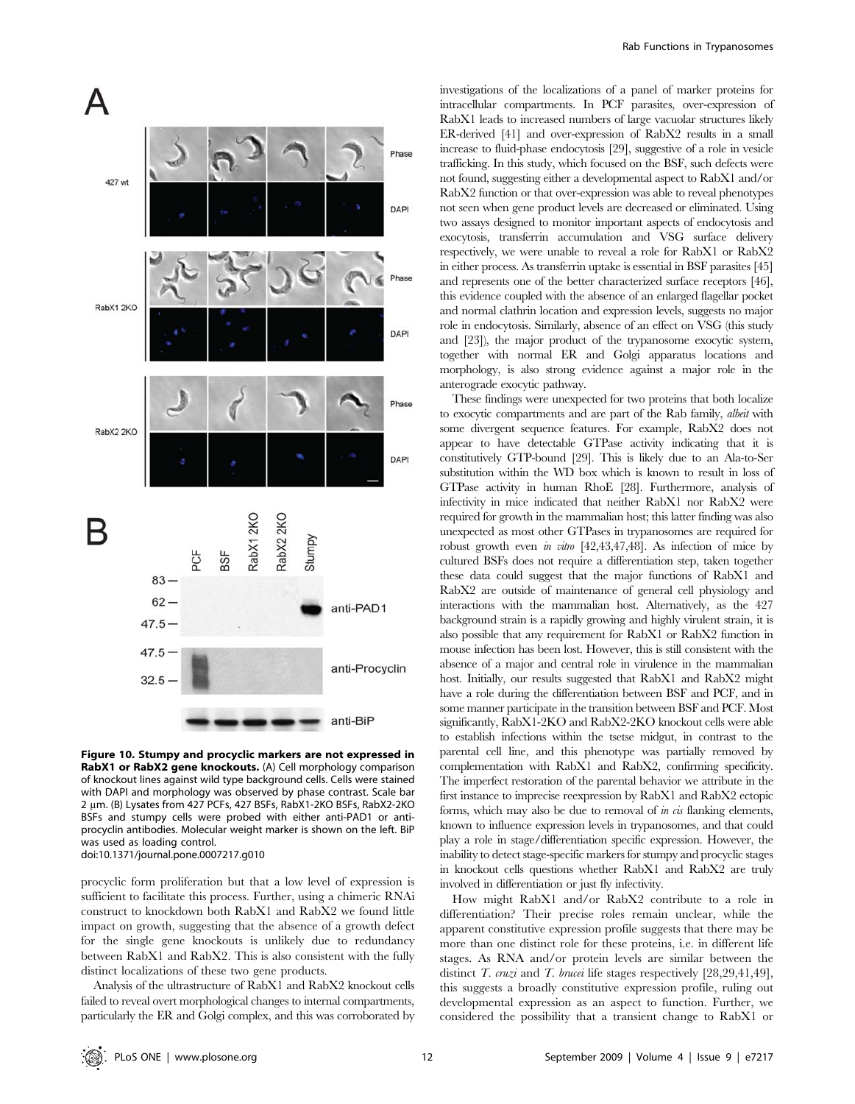

Figure 10. Stumpy and procyclic markers are not expressed in RabX1 or RabX2 gene knockouts. (A) Cell morphology comparison of knockout lines against wild type background cells. Cells were stained with DAPI and morphology was observed by phase contrast. Scale bar 2 µm. (B) Lysates from 427 PCFs, 427 BSFs, RabX1-2KO BSFs, RabX2-2KO BSFs and stumpy cells were probed with either anti-PAD1 or antiprocyclin antibodies. Molecular weight marker is shown on the left. BiP was used as loading control. doi:10.1371/journal.pone.0007217.g010

procyclic form proliferation but that a low level of expression is sufficient to facilitate this process. Further, using a chimeric RNAi construct to knockdown both RabX1 and RabX2 we found little impact on growth, suggesting that the absence of a growth defect for the single gene knockouts is unlikely due to redundancy between RabX1 and RabX2. This is also consistent with the fully distinct localizations of these two gene products.

Analysis of the ultrastructure of RabX1 and RabX2 knockout cells failed to reveal overt morphological changes to internal compartments, particularly the ER and Golgi complex, and this was corroborated by investigations of the localizations of a panel of marker proteins for intracellular compartments. In PCF parasites, over-expression of RabX1 leads to increased numbers of large vacuolar structures likely ER-derived [41] and over-expression of RabX2 results in a small increase to fluid-phase endocytosis [29], suggestive of a role in vesicle trafficking. In this study, which focused on the BSF, such defects were not found, suggesting either a developmental aspect to RabX1 and/or RabX2 function or that over-expression was able to reveal phenotypes not seen when gene product levels are decreased or eliminated. Using two assays designed to monitor important aspects of endocytosis and exocytosis, transferrin accumulation and VSG surface delivery respectively, we were unable to reveal a role for RabX1 or RabX2 in either process. As transferrin uptake is essential in BSF parasites [45] and represents one of the better characterized surface receptors [46], this evidence coupled with the absence of an enlarged flagellar pocket and normal clathrin location and expression levels, suggests no major role in endocytosis. Similarly, absence of an effect on VSG (this study and [23]), the major product of the trypanosome exocytic system, together with normal ER and Golgi apparatus locations and morphology, is also strong evidence against a major role in the anterograde exocytic pathway.

These findings were unexpected for two proteins that both localize to exocytic compartments and are part of the Rab family, albeit with some divergent sequence features. For example, RabX2 does not appear to have detectable GTPase activity indicating that it is constitutively GTP-bound [29]. This is likely due to an Ala-to-Ser substitution within the WD box which is known to result in loss of GTPase activity in human RhoE [28]. Furthermore, analysis of infectivity in mice indicated that neither RabX1 nor RabX2 were required for growth in the mammalian host; this latter finding was also unexpected as most other GTPases in trypanosomes are required for robust growth even in vitro  $[42, 43, 47, 48]$ . As infection of mice by cultured BSFs does not require a differentiation step, taken together these data could suggest that the major functions of RabX1 and RabX2 are outside of maintenance of general cell physiology and interactions with the mammalian host. Alternatively, as the 427 background strain is a rapidly growing and highly virulent strain, it is also possible that any requirement for RabX1 or RabX2 function in mouse infection has been lost. However, this is still consistent with the absence of a major and central role in virulence in the mammalian host. Initially, our results suggested that RabX1 and RabX2 might have a role during the differentiation between BSF and PCF, and in some manner participate in the transition between BSF and PCF. Most significantly, RabX1-2KO and RabX2-2KO knockout cells were able to establish infections within the tsetse midgut, in contrast to the parental cell line, and this phenotype was partially removed by complementation with RabX1 and RabX2, confirming specificity. The imperfect restoration of the parental behavior we attribute in the first instance to imprecise reexpression by RabX1 and RabX2 ectopic forms, which may also be due to removal of  $\dot{m}$  cis flanking elements, known to influence expression levels in trypanosomes, and that could play a role in stage/differentiation specific expression. However, the inability to detect stage-specific markers for stumpy and procyclic stages in knockout cells questions whether RabX1 and RabX2 are truly involved in differentiation or just fly infectivity.

How might RabX1 and/or RabX2 contribute to a role in differentiation? Their precise roles remain unclear, while the apparent constitutive expression profile suggests that there may be more than one distinct role for these proteins, i.e. in different life stages. As RNA and/or protein levels are similar between the distinct *T. cruzi* and *T. brucei* life stages respectively [28,29,41,49], this suggests a broadly constitutive expression profile, ruling out developmental expression as an aspect to function. Further, we considered the possibility that a transient change to RabX1 or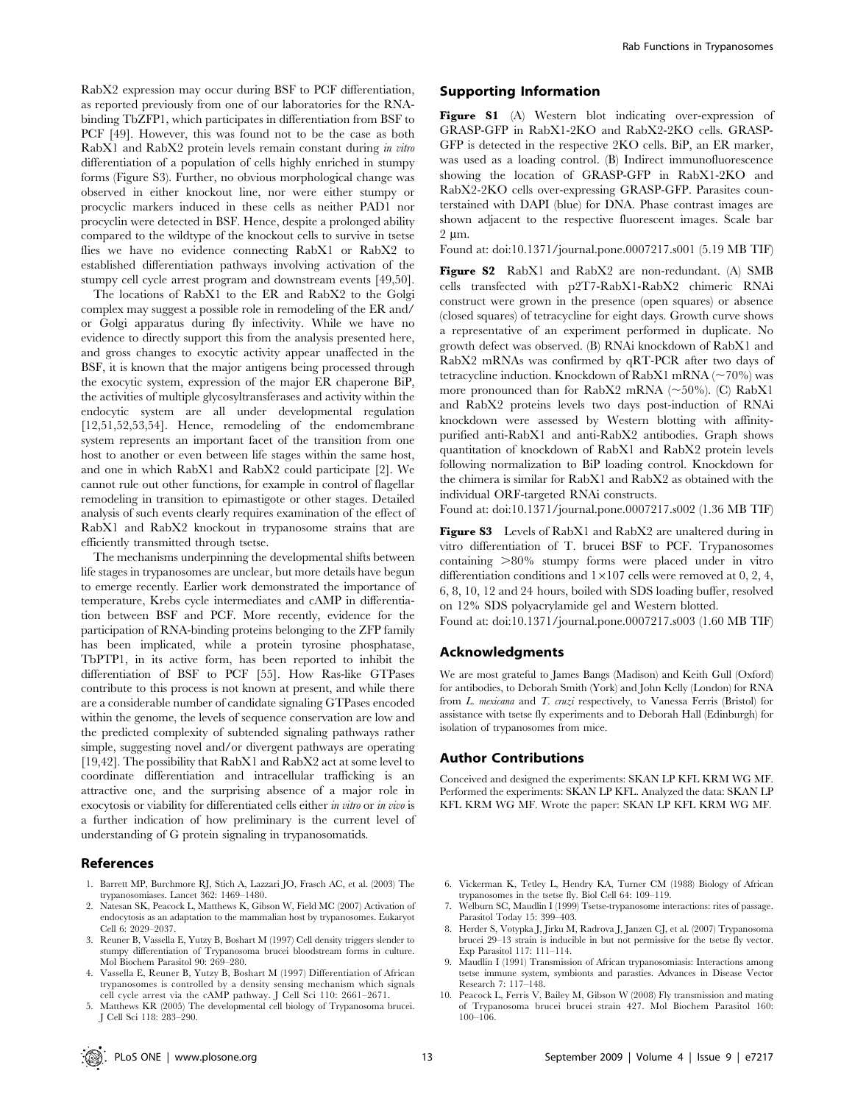RabX2 expression may occur during BSF to PCF differentiation, as reported previously from one of our laboratories for the RNAbinding TbZFP1, which participates in differentiation from BSF to PCF [49]. However, this was found not to be the case as both RabX1 and RabX2 protein levels remain constant during in vitro differentiation of a population of cells highly enriched in stumpy forms (Figure S3). Further, no obvious morphological change was observed in either knockout line, nor were either stumpy or procyclic markers induced in these cells as neither PAD1 nor procyclin were detected in BSF. Hence, despite a prolonged ability compared to the wildtype of the knockout cells to survive in tsetse flies we have no evidence connecting RabX1 or RabX2 to established differentiation pathways involving activation of the stumpy cell cycle arrest program and downstream events [49,50].

The locations of RabX1 to the ER and RabX2 to the Golgi complex may suggest a possible role in remodeling of the ER and/ or Golgi apparatus during fly infectivity. While we have no evidence to directly support this from the analysis presented here, and gross changes to exocytic activity appear unaffected in the BSF, it is known that the major antigens being processed through the exocytic system, expression of the major ER chaperone BiP, the activities of multiple glycosyltransferases and activity within the endocytic system are all under developmental regulation [12,51,52,53,54]. Hence, remodeling of the endomembrane system represents an important facet of the transition from one host to another or even between life stages within the same host, and one in which RabX1 and RabX2 could participate [2]. We cannot rule out other functions, for example in control of flagellar remodeling in transition to epimastigote or other stages. Detailed analysis of such events clearly requires examination of the effect of RabX1 and RabX2 knockout in trypanosome strains that are efficiently transmitted through tsetse.

The mechanisms underpinning the developmental shifts between life stages in trypanosomes are unclear, but more details have begun to emerge recently. Earlier work demonstrated the importance of temperature, Krebs cycle intermediates and cAMP in differentiation between BSF and PCF. More recently, evidence for the participation of RNA-binding proteins belonging to the ZFP family has been implicated, while a protein tyrosine phosphatase, TbPTP1, in its active form, has been reported to inhibit the differentiation of BSF to PCF [55]. How Ras-like GTPases contribute to this process is not known at present, and while there are a considerable number of candidate signaling GTPases encoded within the genome, the levels of sequence conservation are low and the predicted complexity of subtended signaling pathways rather simple, suggesting novel and/or divergent pathways are operating [19,42]. The possibility that RabX1 and RabX2 act at some level to coordinate differentiation and intracellular trafficking is an attractive one, and the surprising absence of a major role in exocytosis or viability for differentiated cells either in vitro or in vivo is a further indication of how preliminary is the current level of understanding of G protein signaling in trypanosomatids.

## References

- 1. Barrett MP, Burchmore RJ, Stich A, Lazzari JO, Frasch AC, et al. (2003) The trypanosomiases. Lancet 362: 1469–1480.
- 2. Natesan SK, Peacock L, Matthews K, Gibson W, Field MC (2007) Activation of endocytosis as an adaptation to the mammalian host by trypanosomes. Eukaryot Cell 6: 2029–2037.
- 3. Reuner B, Vassella E, Yutzy B, Boshart M (1997) Cell density triggers slender to stumpy differentiation of Trypanosoma brucei bloodstream forms in culture. Mol Biochem Parasitol 90: 269–280.
- 4. Vassella E, Reuner B, Yutzy B, Boshart M (1997) Differentiation of African trypanosomes is controlled by a density sensing mechanism which signals cell cycle arrest via the cAMP pathway. J Cell Sci 110: 2661–2671.
- 5. Matthews KR (2005) The developmental cell biology of Trypanosoma brucei. J Cell Sci 118: 283–290.

## Supporting Information

Figure S1 (A) Western blot indicating over-expression of GRASP-GFP in RabX1-2KO and RabX2-2KO cells. GRASP-GFP is detected in the respective 2KO cells. BiP, an ER marker, was used as a loading control. (B) Indirect immunofluorescence showing the location of GRASP-GFP in RabX1-2KO and RabX2-2KO cells over-expressing GRASP-GFP. Parasites counterstained with DAPI (blue) for DNA. Phase contrast images are shown adjacent to the respective fluorescent images. Scale bar  $2 \text{ um}$ .

Found at: doi:10.1371/journal.pone.0007217.s001 (5.19 MB TIF)

Figure S2 RabX1 and RabX2 are non-redundant. (A) SMB cells transfected with p2T7-RabX1-RabX2 chimeric RNAi construct were grown in the presence (open squares) or absence (closed squares) of tetracycline for eight days. Growth curve shows a representative of an experiment performed in duplicate. No growth defect was observed. (B) RNAi knockdown of RabX1 and RabX2 mRNAs was confirmed by qRT-PCR after two days of tetracycline induction. Knockdown of RabX1 mRNA ( $\sim$ 70%) was more pronounced than for RabX2 mRNA ( $\sim$ 50%). (C) RabX1 and RabX2 proteins levels two days post-induction of RNAi knockdown were assessed by Western blotting with affinitypurified anti-RabX1 and anti-RabX2 antibodies. Graph shows quantitation of knockdown of RabX1 and RabX2 protein levels following normalization to BiP loading control. Knockdown for the chimera is similar for RabX1 and RabX2 as obtained with the individual ORF-targeted RNAi constructs.

Found at: doi:10.1371/journal.pone.0007217.s002 (1.36 MB TIF)

Figure S3 Levels of RabX1 and RabX2 are unaltered during in vitro differentiation of T. brucei BSF to PCF. Trypanosomes containing  $>80\%$  stumpy forms were placed under in vitro differentiation conditions and  $1 \times 107$  cells were removed at 0, 2, 4, 6, 8, 10, 12 and 24 hours, boiled with SDS loading buffer, resolved on 12% SDS polyacrylamide gel and Western blotted.

Found at: doi:10.1371/journal.pone.0007217.s003 (1.60 MB TIF)

#### Acknowledgments

We are most grateful to James Bangs (Madison) and Keith Gull (Oxford) for antibodies, to Deborah Smith (York) and John Kelly (London) for RNA from L. mexicana and T. cruzi respectively, to Vanessa Ferris (Bristol) for assistance with tsetse fly experiments and to Deborah Hall (Edinburgh) for isolation of trypanosomes from mice.

#### Author Contributions

Conceived and designed the experiments: SKAN LP KFL KRM WG MF. Performed the experiments: SKAN LP KFL. Analyzed the data: SKAN LP KFL KRM WG MF. Wrote the paper: SKAN LP KFL KRM WG MF.

- 6. Vickerman K, Tetley L, Hendry KA, Turner CM (1988) Biology of African trypanosomes in the tsetse fly. Biol Cell 64: 109–119.
- 7. Welburn SC, Maudlin I (1999) Tsetse-trypanosome interactions: rites of passage. Parasitol Today 15: 399–403.
- 8. Herder S, Votypka J, Jirku M, Radrova J, Janzen CJ, et al. (2007) Trypanosoma brucei 29–13 strain is inducible in but not permissive for the tsetse fly vector. Exp Parasitol 117: 111–114.
- 9. Maudlin I (1991) Transmission of African trypanosomiasis: Interactions among tsetse immune system, symbionts and parasties. Advances in Disease Vector Research 7: 117–148.
- 10. Peacock L, Ferris V, Bailey M, Gibson W (2008) Fly transmission and mating of Trypanosoma brucei brucei strain 427. Mol Biochem Parasitol 160: 100–106.